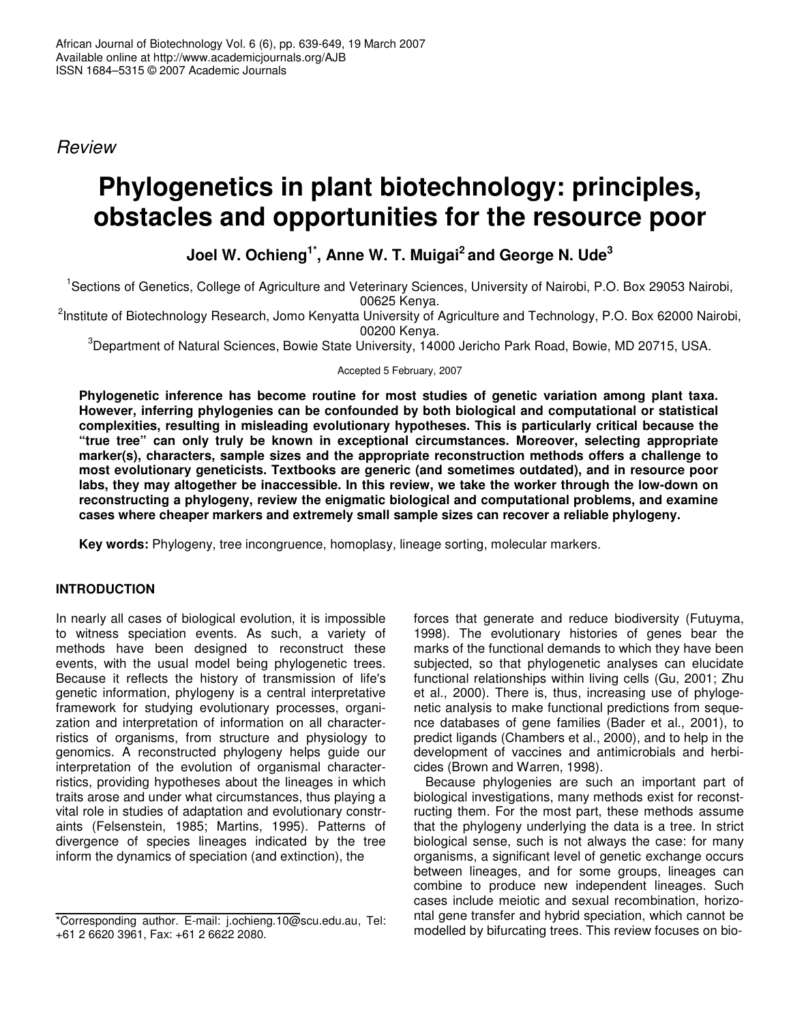*Review*

# **Phylogenetics in plant biotechnology: principles, obstacles and opportunities for the resource poor**

**Joel W. Ochieng 1\* , Anne W. T. Muigai 2 and George N. Ude 3**

<sup>1</sup>Sections of Genetics, College of Agriculture and Veterinary Sciences, University of Nairobi, P.O. Box 29053 Nairobi, 00625 Kenya.

<sup>2</sup>Institute of Biotechnology Research, Jomo Kenyatta University of Agriculture and Technology, P.O. Box 62000 Nairobi, 00200 Kenya.

<sup>3</sup>Department of Natural Sciences, Bowie State University, 14000 Jericho Park Road, Bowie, MD 20715, USA.

Accepted 5 February, 2007

**Phylogenetic inference has become routine for most studies of genetic variation among plant taxa. However, inferring phylogenies can be confounded by both biological and computational or statistical complexities, resulting in misleading evolutionary hypotheses. This is particularly critical because the "true tree" can only truly be known in exceptional circumstances. Moreover, selecting appropriate marker(s), characters, sample sizes and the appropriate reconstruction methods offers a challenge to most evolutionary geneticists. Textbooks are generic (and sometimes outdated), and in resource poor labs, they may altogether be inaccessible. In this review, we take the worker through the low-down on reconstructing a phylogeny, review the enigmatic biological and computational problems, and examine cases where cheaper markers and extremely small sample sizes can recover a reliable phylogeny.**

**Key words:** Phylogeny, tree incongruence, homoplasy, lineage sorting, molecular markers.

## **INTRODUCTION**

In nearly all cases of biological evolution, it is impossible to witness speciation events. As such, a variety of methods have been designed to reconstruct these events, with the usual model being phylogenetic trees. Because it reflects the history of transmission of life's genetic information, phylogeny is a central interpretative framework for studying evolutionary processes, organization and interpretation of information on all characterristics of organisms, from structure and physiology to genomics. A reconstructed phylogeny helps guide our interpretation of the evolution of organismal characterristics, providing hypotheses about the lineages in which traits arose and under what circumstances, thus playing a vital role in studies of adaptation and evolutionary constraints (Felsenstein, 1985; Martins, 1995). Patterns of divergence of species lineages indicated by the tree inform the dynamics of speciation (and extinction), the

forces that generate and reduce biodiversity (Futuyma, 1998). The evolutionary histories of genes bear the marks of the functional demands to which they have been subjected, so that phylogenetic analyses can elucidate functional relationships within living cells (Gu, 2001; Zhu et al., 2000). There is, thus, increasing use of phylogenetic analysis to make functional predictions from sequence databases of gene families (Bader et al., 2001), to predict ligands (Chambers et al., 2000), and to help in the development of vaccines and antimicrobials and herbicides (Brown and Warren, 1998).

Because phylogenies are such an important part of biological investigations, many methods exist for reconstructing them. For the most part, these methods assume that the phylogeny underlying the data is a tree. In strict biological sense, such is not always the case: for many organisms, a significant level of genetic exchange occurs between lineages, and for some groups, lineages can combine to produce new independent lineages. Such cases include meiotic and sexual recombination, horizontal gene transfer and hybrid speciation, which cannot be modelled by bifurcating trees. This review focuses on bio-

<sup>\*</sup>Corresponding author. E-mail: j.ochieng.10@scu.edu.au, Tel: +61 2 6620 3961, Fax: +61 2 6622 2080.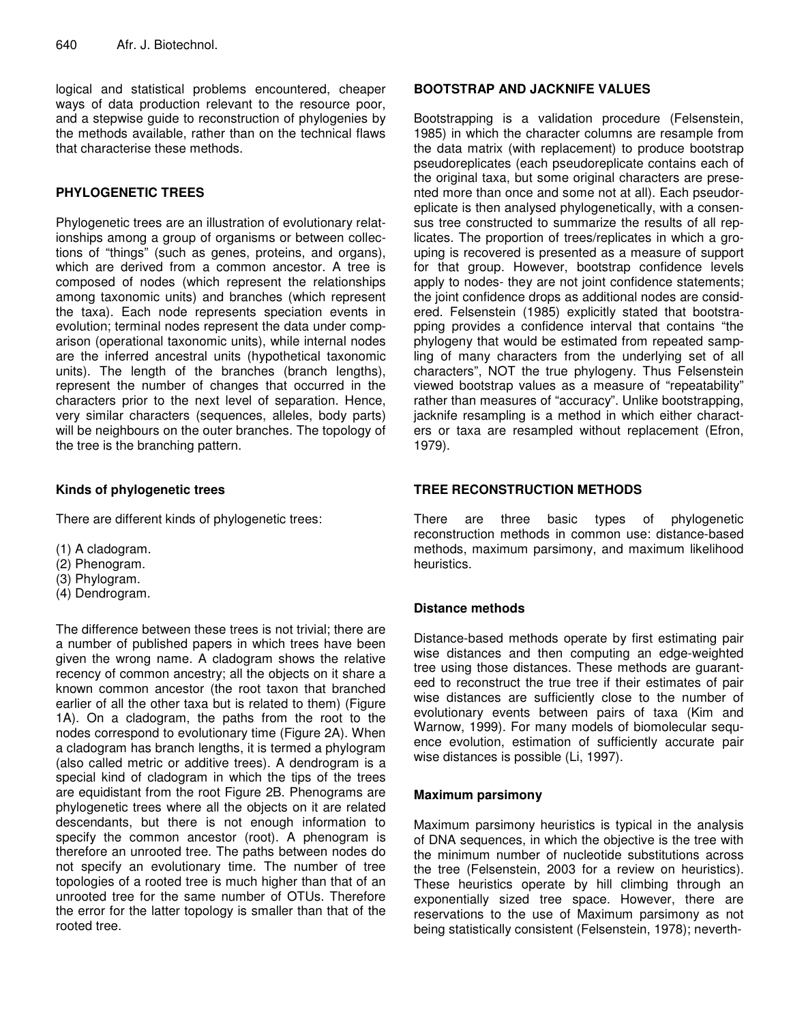logical and statistical problems encountered, cheaper ways of data production relevant to the resource poor, and a stepwise guide to reconstruction of phylogenies by the methods available, rather than on the technical flaws that characterise these methods.

## **PHYLOGENETIC TREES**

Phylogenetic trees are an illustration of evolutionary relationships among a group of organisms or between collections of "things" (such as genes, proteins, and organs), which are derived from a common ancestor. A tree is composed of nodes (which represent the relationships among taxonomic units) and branches (which represent the taxa). Each node represents speciation events in evolution; terminal nodes represent the data under comparison (operational taxonomic units), while internal nodes are the inferred ancestral units (hypothetical taxonomic units). The length of the branches (branch lengths), represent the number of changes that occurred in the characters prior to the next level of separation. Hence, very similar characters (sequences, alleles, body parts) will be neighbours on the outer branches. The topology of the tree is the branching pattern.

## **Kinds of phylogenetic trees**

There are different kinds of phylogenetic trees:

- (1) A cladogram.
- (2) Phenogram.
- (3) Phylogram.
- (4) Dendrogram.

The difference between these trees is not trivial; there are a number of published papers in which trees have been given the wrong name. A cladogram shows the relative recency of common ancestry; all the objects on it share a known common ancestor (the root taxon that branched earlier of all the other taxa but is related to them) (Figure 1A). On a cladogram, the paths from the root to the nodes correspond to evolutionary time (Figure 2A). When a cladogram has branch lengths, it is termed a phylogram (also called metric or additive trees). A dendrogram is a special kind of cladogram in which the tips of the trees are equidistant from the root Figure 2B. Phenograms are phylogenetic trees where all the objects on it are related descendants, but there is not enough information to specify the common ancestor (root). A phenogram is therefore an unrooted tree. The paths between nodes do not specify an evolutionary time. The number of tree topologies of a rooted tree is much higher than that of an unrooted tree for the same number of OTUs. Therefore the error for the latter topology is smaller than that of the rooted tree.

#### **BOOTSTRAP AND JACKNIFE VALUES**

Bootstrapping is a validation procedure (Felsenstein, 1985) in which the character columns are resample from the data matrix (with replacement) to produce bootstrap pseudoreplicates (each pseudoreplicate contains each of the original taxa, but some original characters are presented more than once and some not at all). Each pseudoreplicate is then analysed phylogenetically, with a consensus tree constructed to summarize the results of all replicates. The proportion of trees/replicates in which a grouping is recovered is presented as a measure of support for that group. However, bootstrap confidence levels apply to nodes- they are not joint confidence statements; the joint confidence drops as additional nodes are considered. Felsenstein (1985) explicitly stated that bootstrapping provides a confidence interval that contains "the phylogeny that would be estimated from repeated sampling of many characters from the underlying set of all characters", NOT the true phylogeny. Thus Felsenstein viewed bootstrap values as a measure of "repeatability" rather than measures of "accuracy". Unlike bootstrapping, jacknife resampling is a method in which either characters or taxa are resampled without replacement (Efron, 1979).

#### **TREE RECONSTRUCTION METHODS**

There are three basic types of phylogenetic reconstruction methods in common use: distance-based methods, maximum parsimony, and maximum likelihood heuristics.

## **Distance methods**

Distance-based methods operate by first estimating pair wise distances and then computing an edge-weighted tree using those distances. These methods are guaranteed to reconstruct the true tree if their estimates of pair wise distances are sufficiently close to the number of evolutionary events between pairs of taxa (Kim and Warnow, 1999). For many models of biomolecular sequence evolution, estimation of sufficiently accurate pair wise distances is possible (Li, 1997).

## **Maximum parsimony**

Maximum parsimony heuristics is typical in the analysis of DNA sequences, in which the objective is the tree with the minimum number of nucleotide substitutions across the tree (Felsenstein, 2003 for a review on heuristics). These heuristics operate by hill climbing through an exponentially sized tree space. However, there are reservations to the use of Maximum parsimony as not being statistically consistent (Felsenstein, 1978); neverth-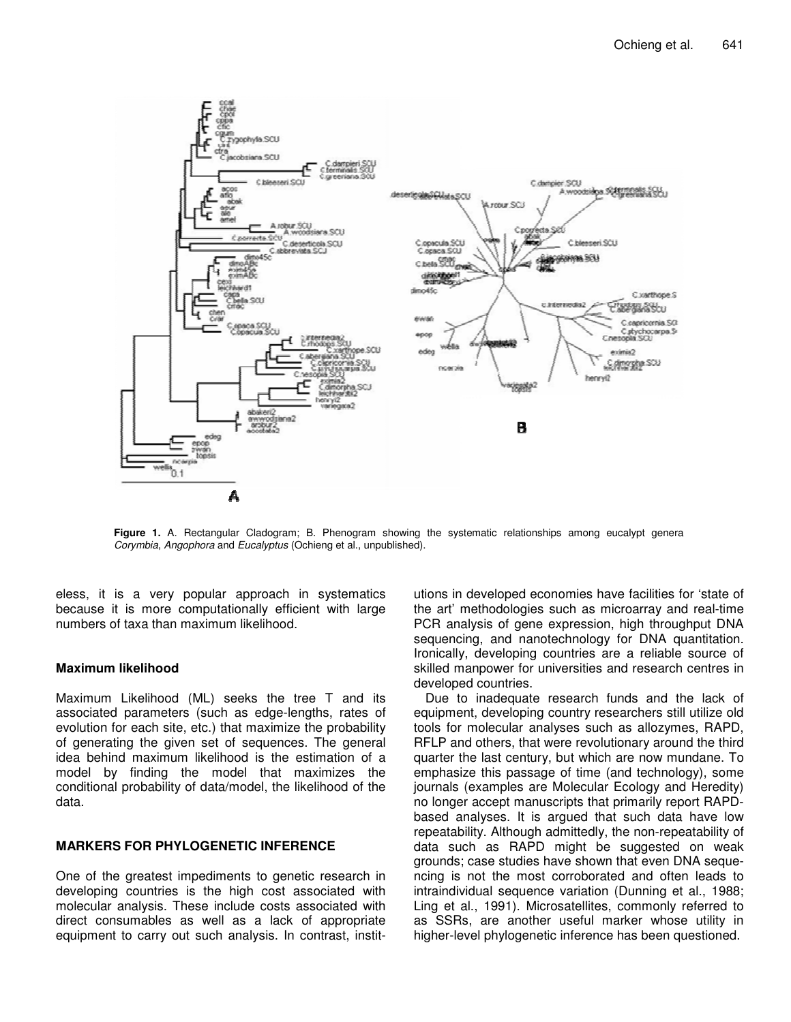

**Figure 1.** A. Rectangular Cladogram; B. Phenogram showing the systematic relationships among eucalypt genera *Corymbia*, *Angophora* and *Eucalyptus* (Ochieng et al., unpublished).

eless, it is a very popular approach in systematics because it is more computationally efficient with large numbers of taxa than maximum likelihood.

#### **Maximum likelihood**

Maximum Likelihood (ML) seeks the tree T and its associated parameters (such as edge-lengths, rates of evolution for each site, etc.) that maximize the probability of generating the given set of sequences. The general idea behind maximum likelihood is the estimation of a model by finding the model that maximizes the conditional probability of data/model, the likelihood of the data.

#### **MARKERS FOR PHYLOGENETIC INFERENCE**

One of the greatest impediments to genetic research in developing countries is the high cost associated with molecular analysis. These include costs associated with direct consumables as well as a lack of appropriate equipment to carry out such analysis. In contrast, institutions in developed economies have facilities for 'state of the art' methodologies such as microarray and real-time PCR analysis of gene expression, high throughput DNA sequencing, and nanotechnology for DNA quantitation. Ironically, developing countries are a reliable source of skilled manpower for universities and research centres in developed countries.

Due to inadequate research funds and the lack of equipment, developing country researchers still utilize old tools for molecular analyses such as allozymes, RAPD, RFLP and others, that were revolutionary around the third quarter the last century, but which are now mundane. To emphasize this passage of time (and technology), some journals (examples are Molecular Ecology and Heredity) no longer accept manuscripts that primarily report RAPDbased analyses. It is argued that such data have low repeatability. Although admittedly, the non-repeatability of data such as RAPD might be suggested on weak grounds; case studies have shown that even DNA sequencing is not the most corroborated and often leads to intraindividual sequence variation (Dunning et al., 1988; Ling et al., 1991). Microsatellites, commonly referred to as SSRs, are another useful marker whose utility in higher-level phylogenetic inference has been questioned.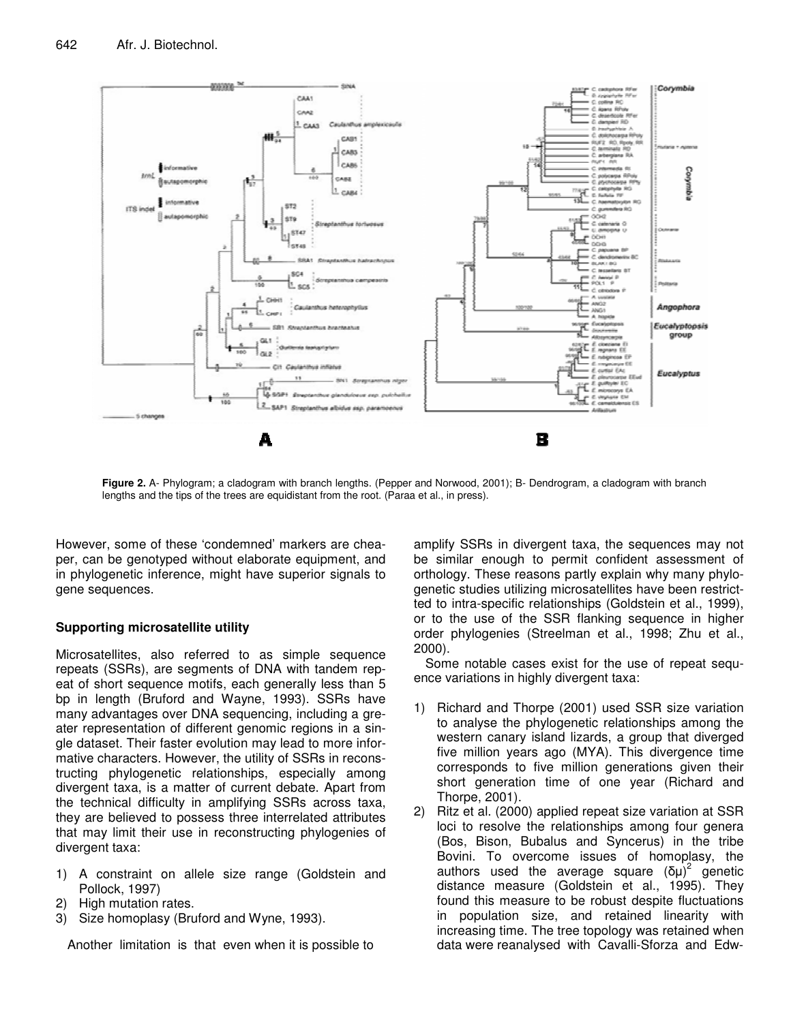

**Figure 2.** A- Phylogram; a cladogram with branch lengths. (Pepper and Norwood, 2001); B- Dendrogram, a cladogram with branch lengths and the tips of the trees are equidistant from the root. (Paraa et al., in press).

However, some of these 'condemned' markers are cheaper, can be genotyped without elaborate equipment, and in phylogenetic inference, might have superior signals to gene sequences.

#### **Supporting microsatellite utility**

Microsatellites, also referred to as simple sequence repeats (SSRs), are segments of DNA with tandem repeat of short sequence motifs, each generally less than 5 bp in length (Bruford and Wayne, 1993). SSRs have many advantages over DNA sequencing, including a greater representation of different genomic regions in a single dataset. Their faster evolution may lead to more informative characters. However, the utility of SSRs in reconstructing phylogenetic relationships, especially among divergent taxa, is a matter of current debate. Apart from the technical difficulty in amplifying SSRs across taxa, they are believed to possess three interrelated attributes that may limit their use in reconstructing phylogenies of divergent taxa:

- 1) A constraint on allele size range (Goldstein and Pollock, 1997)
- 2) High mutation rates.
- 3) Size homoplasy (Bruford and Wyne, 1993).

Another limitation is that even when it is possible to

amplify SSRs in divergent taxa, the sequences may not be similar enough to permit confident assessment of orthology. These reasons partly explain why many phylogenetic studies utilizing microsatellites have been restrictted to intra-specific relationships (Goldstein et al., 1999), or to the use of the SSR flanking sequence in higher order phylogenies (Streelman et al., 1998; Zhu et al., 2000).

Some notable cases exist for the use of repeat sequence variations in highly divergent taxa:

- 1) Richard and Thorpe (2001) used SSR size variation to analyse the phylogenetic relationships among the western canary island lizards, a group that diverged five million years ago (MYA). This divergence time corresponds to five million generations given their short generation time of one year (Richard and Thorpe, 2001).
- 2) Ritz et al. (2000) applied repeat size variation at SSR loci to resolve the relationships among four genera (Bos, Bison, Bubalus and Syncerus) in the tribe Bovini. To overcome issues of homoplasy, the authors used the average square  $(\delta \mu)^2$  genetic distance measure (Goldstein et al., 1995). They found this measure to be robust despite fluctuations in population size, and retained linearity with increasing time. The tree topology was retained when data were reanalysed with Cavalli-Sforza and Edw-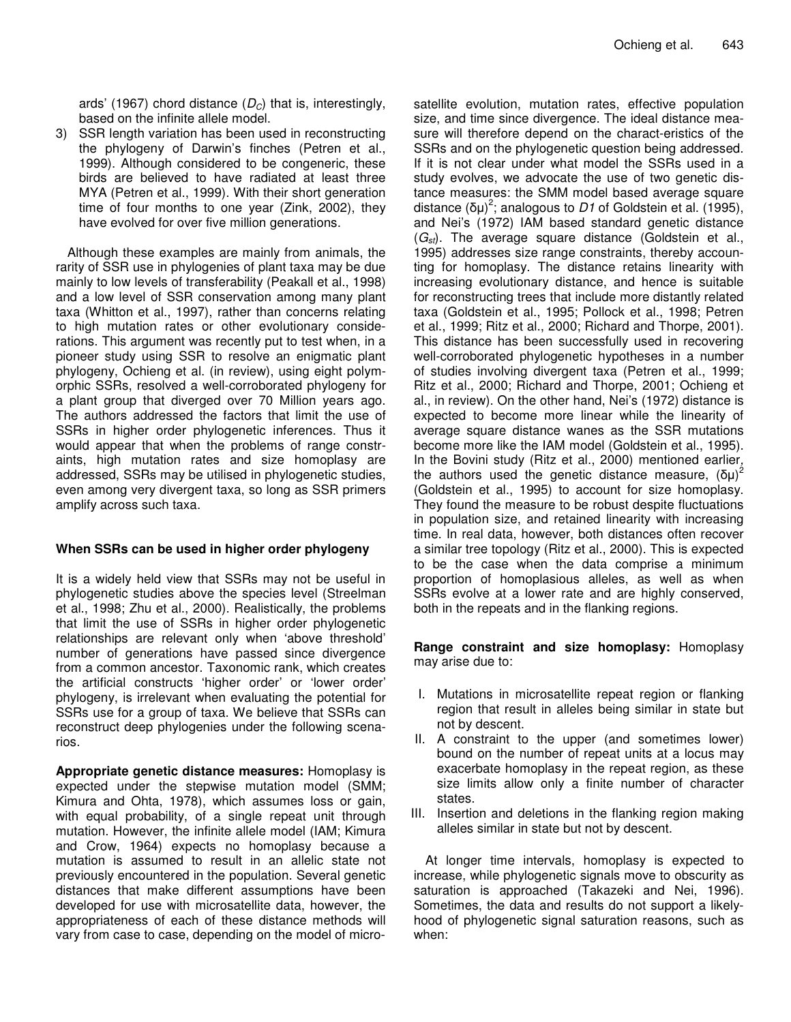ards' (1967) chord distance (*DC*) that is, interestingly, based on the infinite allele model.

3) SSR length variation has been used in reconstructing the phylogeny of Darwin's finches (Petren et al., 1999). Although considered to be congeneric, these birds are believed to have radiated at least three MYA (Petren et al., 1999). With their short generation time of four months to one year (Zink, 2002), they have evolved for over five million generations.

Although these examples are mainly from animals, the rarity of SSR use in phylogenies of plant taxa may be due mainly to low levels of transferability (Peakall et al., 1998) and a low level of SSR conservation among many plant taxa (Whitton et al., 1997), rather than concerns relating to high mutation rates or other evolutionary considerations. This argument was recently put to test when, in a pioneer study using SSR to resolve an enigmatic plant phylogeny, Ochieng et al. (in review), using eight polymorphic SSRs, resolved a well-corroborated phylogeny for a plant group that diverged over 70 Million years ago. The authors addressed the factors that limit the use of SSRs in higher order phylogenetic inferences. Thus it would appear that when the problems of range constraints, high mutation rates and size homoplasy are addressed, SSRs may be utilised in phylogenetic studies, even among very divergent taxa, so long as SSR primers amplify across such taxa.

#### **When SSRs can be used in higher order phylogeny**

It is a widely held view that SSRs may not be useful in phylogenetic studies above the species level (Streelman et al., 1998; Zhu et al., 2000). Realistically, the problems that limit the use of SSRs in higher order phylogenetic relationships are relevant only when 'above threshold' number of generations have passed since divergence from a common ancestor. Taxonomic rank, which creates the artificial constructs 'higher order' or 'lower order' phylogeny, is irrelevant when evaluating the potential for SSRs use for a group of taxa. We believe that SSRs can reconstruct deep phylogenies under the following scenarios.

**Appropriate genetic distance measures:** Homoplasy is expected under the stepwise mutation model (SMM; Kimura and Ohta, 1978), which assumes loss or gain, with equal probability, of a single repeat unit through mutation. However, the infinite allele model (IAM; Kimura and Crow, 1964) expects no homoplasy because a mutation is assumed to result in an allelic state not previously encountered in the population. Several genetic distances that make different assumptions have been developed for use with microsatellite data, however, the appropriateness of each of these distance methods will vary from case to case, depending on the model of microsatellite evolution, mutation rates, effective population size, and time since divergence. The ideal distance measure will therefore depend on the charact-eristics of the SSRs and on the phylogenetic question being addressed. If it is not clear under what model the SSRs used in a study evolves, we advocate the use of two genetic distance measures: the SMM model based average square distance ( $\delta \mu$ <sup>)2</sup>; analogous to D1 of Goldstein et al. (1995), and Nei's (1972) IAM based standard genetic distance (*Gst*). The average square distance (Goldstein et al., 1995) addresses size range constraints, thereby accounting for homoplasy. The distance retains linearity with increasing evolutionary distance, and hence is suitable for reconstructing trees that include more distantly related taxa (Goldstein et al., 1995; Pollock et al., 1998; Petren et al., 1999; Ritz et al., 2000; Richard and Thorpe, 2001). This distance has been successfully used in recovering well-corroborated phylogenetic hypotheses in a number of studies involving divergent taxa (Petren et al., 1999; Ritz et al., 2000; Richard and Thorpe, 2001; Ochieng et al., in review). On the other hand, Nei's (1972) distance is expected to become more linear while the linearity of average square distance wanes as the SSR mutations become more like the IAM model (Goldstein et al., 1995). In the Bovini study (Ritz et al., 2000) mentioned earlier*,* the authors used the genetic distance measure,  $(\delta \mu)^2$ (Goldstein et al., 1995) to account for size homoplasy. They found the measure to be robust despite fluctuations in population size, and retained linearity with increasing time. In real data, however, both distances often recover a similar tree topology (Ritz et al., 2000). This is expected to be the case when the data comprise a minimum proportion of homoplasious alleles, as well as when SSRs evolve at a lower rate and are highly conserved, both in the repeats and in the flanking regions.

**Range constraint and size homoplasy:** Homoplasy may arise due to:

- I. Mutations in microsatellite repeat region or flanking region that result in alleles being similar in state but not by descent.
- II. A constraint to the upper (and sometimes lower) bound on the number of repeat units at a locus may exacerbate homoplasy in the repeat region, as these size limits allow only a finite number of character states.
- III. Insertion and deletions in the flanking region making alleles similar in state but not by descent.

At longer time intervals, homoplasy is expected to increase, while phylogenetic signals move to obscurity as saturation is approached (Takazeki and Nei, 1996). Sometimes, the data and results do not support a likelyhood of phylogenetic signal saturation reasons, such as when: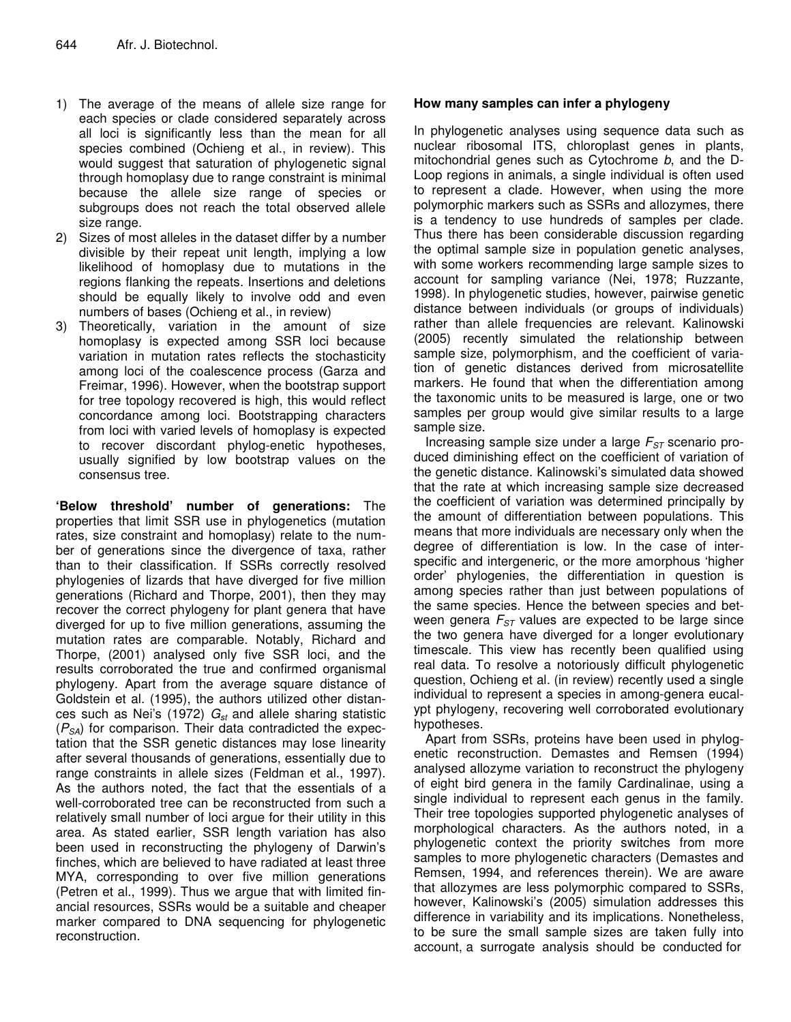- 1) The average of the means of allele size range for each species or clade considered separately across all loci is significantly less than the mean for all species combined (Ochieng et al., in review). This would suggest that saturation of phylogenetic signal through homoplasy due to range constraint is minimal because the allele size range of species or subgroups does not reach the total observed allele size range.
- 2) Sizes of most alleles in the dataset differ by a number divisible by their repeat unit length, implying a low likelihood of homoplasy due to mutations in the regions flanking the repeats. Insertions and deletions should be equally likely to involve odd and even numbers of bases (Ochieng et al., in review)
- 3) Theoretically, variation in the amount of size homoplasy is expected among SSR loci because variation in mutation rates reflects the stochasticity among loci of the coalescence process (Garza and Freimar, 1996). However, when the bootstrap support for tree topology recovered is high, this would reflect concordance among loci. Bootstrapping characters from loci with varied levels of homoplasy is expected to recover discordant phylog-enetic hypotheses, usually signified by low bootstrap values on the consensus tree.

**'Below threshold' number of generations:** The properties that limit SSR use in phylogenetics (mutation rates, size constraint and homoplasy) relate to the number of generations since the divergence of taxa, rather than to their classification. If SSRs correctly resolved phylogenies of lizards that have diverged for five million generations (Richard and Thorpe, 2001), then they may recover the correct phylogeny for plant genera that have diverged for up to five million generations, assuming the mutation rates are comparable. Notably, Richard and Thorpe, (2001) analysed only five SSR loci, and the results corroborated the true and confirmed organismal phylogeny. Apart from the average square distance of Goldstein et al. (1995), the authors utilized other distances such as Nei's (1972) *Gst* and allele sharing statistic (*PSA*) for comparison. Their data contradicted the expectation that the SSR genetic distances may lose linearity after several thousands of generations, essentially due to range constraints in allele sizes (Feldman et al., 1997). As the authors noted, the fact that the essentials of a well-corroborated tree can be reconstructed from such a relatively small number of loci argue for their utility in this area. As stated earlier, SSR length variation has also been used in reconstructing the phylogeny of Darwin's finches, which are believed to have radiated at least three MYA, corresponding to over five million generations (Petren et al., 1999). Thus we argue that with limited financial resources, SSRs would be a suitable and cheaper marker compared to DNA sequencing for phylogenetic reconstruction.

#### **How many samples can infer a phylogeny**

In phylogenetic analyses using sequence data such as nuclear ribosomal ITS, chloroplast genes in plants, mitochondrial genes such as Cytochrome *b*, and the D-Loop regions in animals, a single individual is often used to represent a clade. However, when using the more polymorphic markers such as SSRs and allozymes, there is a tendency to use hundreds of samples per clade. Thus there has been considerable discussion regarding the optimal sample size in population genetic analyses, with some workers recommending large sample sizes to account for sampling variance (Nei, 1978; Ruzzante, 1998). In phylogenetic studies, however, pairwise genetic distance between individuals (or groups of individuals) rather than allele frequencies are relevant. Kalinowski (2005) recently simulated the relationship between sample size, polymorphism, and the coefficient of variation of genetic distances derived from microsatellite markers. He found that when the differentiation among the taxonomic units to be measured is large, one or two samples per group would give similar results to a large sample size.

Increasing sample size under a large *FST* scenario produced diminishing effect on the coefficient of variation of the genetic distance. Kalinowski's simulated data showed that the rate at which increasing sample size decreased the coefficient of variation was determined principally by the amount of differentiation between populations. This means that more individuals are necessary only when the degree of differentiation is low. In the case of interspecific and intergeneric, or the more amorphous 'higher order' phylogenies, the differentiation in question is among species rather than just between populations of the same species. Hence the between species and between genera *FST* values are expected to be large since the two genera have diverged for a longer evolutionary timescale. This view has recently been qualified using real data. To resolve a notoriously difficult phylogenetic question, Ochieng et al. (in review) recently used a single individual to represent a species in among-genera eucalypt phylogeny, recovering well corroborated evolutionary hypotheses.

Apart from SSRs, proteins have been used in phylogenetic reconstruction. Demastes and Remsen (1994) analysed allozyme variation to reconstruct the phylogeny of eight bird genera in the family Cardinalinae, using a single individual to represent each genus in the family. Their tree topologies supported phylogenetic analyses of morphological characters. As the authors noted, in a phylogenetic context the priority switches from more samples to more phylogenetic characters (Demastes and Remsen, 1994, and references therein). We are aware that allozymes are less polymorphic compared to SSRs, however, Kalinowski's (2005) simulation addresses this difference in variability and its implications. Nonetheless, to be sure the small sample sizes are taken fully into account, a surrogate analysis should be conducted for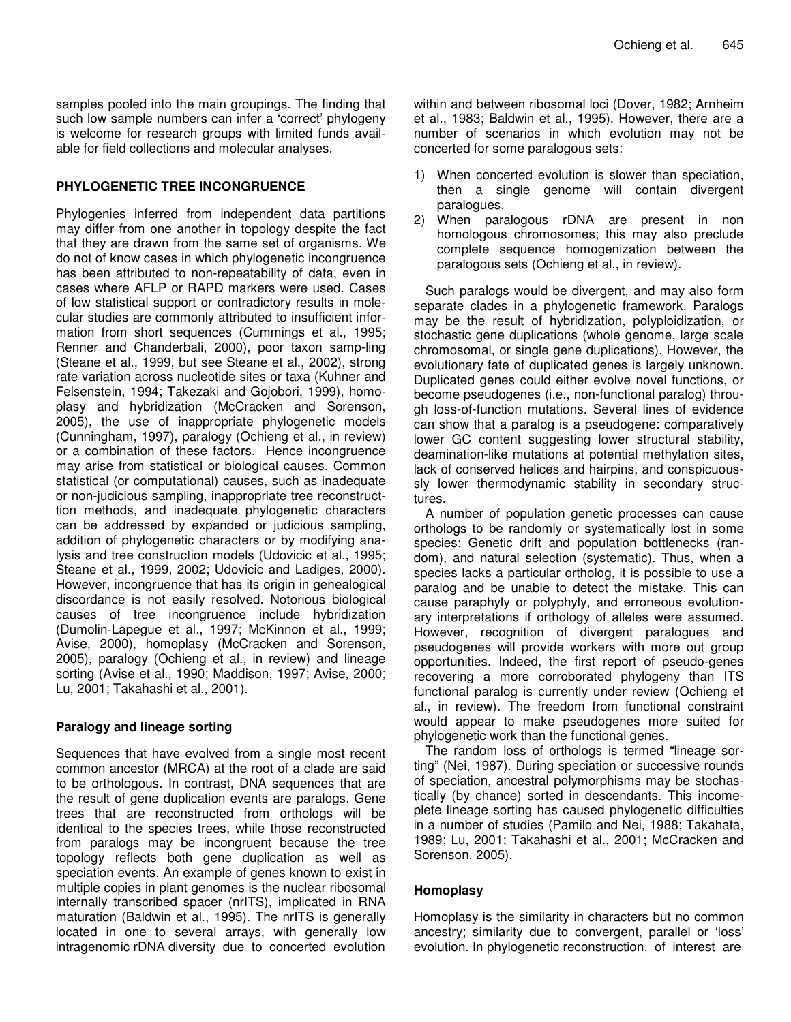samples pooled into the main groupings. The finding that such low sample numbers can infer a 'correct' phylogeny is welcome for research groups with limited funds available for field collections and molecular analyses.

#### **PHYLOGENETIC TREE INCONGRUENCE**

Phylogenies inferred from independent data partitions may differ from one another in topology despite the fact that they are drawn from the same set of organisms. We do not of know cases in which phylogenetic incongruence has been attributed to non-repeatability of data, even in cases where AFLP or RAPD markers were used. Cases of low statistical support or contradictory results in molecular studies are commonly attributed to insufficient information from short sequences (Cummings et al., 1995; Renner and Chanderbali, 2000), poor taxon samp-ling (Steane et al., 1999, but see Steane et al., 2002), strong rate variation across nucleotide sites or taxa (Kuhner and Felsenstein, 1994; Takezaki and Gojobori, 1999), homoplasy and hybridization (McCracken and Sorenson, 2005), the use of inappropriate phylogenetic models (Cunningham, 1997), paralogy (Ochieng et al., in review) or a combination of these factors. Hence incongruence may arise from statistical or biological causes. Common statistical (or computational) causes, such as inadequate or non-judicious sampling, inappropriate tree reconstructtion methods, and inadequate phylogenetic characters can be addressed by expanded or judicious sampling, addition of phylogenetic characters or by modifying analysis and tree construction models (Udovicic et al., 1995; Steane et al., 1999, 2002; Udovicic and Ladiges, 2000). However, incongruence that has its origin in genealogical discordance is not easily resolved. Notorious biological causes of tree incongruence include hybridization (Dumolin-Lapegue et al., 1997; McKinnon et al., 1999; Avise, 2000), homoplasy (McCracken and Sorenson, 2005), paralogy (Ochieng et al., in review) and lineage sorting (Avise et al., 1990; Maddison, 1997; Avise, 2000; Lu, 2001; Takahashi et al., 2001).

## **Paralogy and lineage sorting**

Sequences that have evolved from a single most recent common ancestor (MRCA) at the root of a clade are said to be orthologous. In contrast, DNA sequences that are the result of gene duplication events are paralogs. Gene trees that are reconstructed from orthologs will be identical to the species trees, while those reconstructed from paralogs may be incongruent because the tree topology reflects both gene duplication as well as speciation events. An example of genes known to exist in multiple copies in plant genomes is the nuclear ribosomal internally transcribed spacer (nrITS), implicated in RNA maturation (Baldwin et al., 1995). The nrITS is generally located in one to several arrays, with generally low intragenomic rDNA diversity due to concerted evolution within and between ribosomal loci (Dover, 1982; Arnheim et al., 1983; Baldwin et al., 1995). However, there are a number of scenarios in which evolution may not be concerted for some paralogous sets:

- 1) When concerted evolution is slower than speciation, then a single genome will contain divergent paralogues.
- 2) When paralogous rDNA are present in non homologous chromosomes; this may also preclude complete sequence homogenization between the paralogous sets (Ochieng et al., in review).

Such paralogs would be divergent, and may also form separate clades in a phylogenetic framework. Paralogs may be the result of hybridization, polyploidization, or stochastic gene duplications (whole genome, large scale chromosomal, or single gene duplications). However, the evolutionary fate of duplicated genes is largely unknown. Duplicated genes could either evolve novel functions, or become pseudogenes (i.e., non-functional paralog) through loss-of-function mutations. Several lines of evidence can show that a paralog is a pseudogene: comparatively lower GC content suggesting lower structural stability, deamination-like mutations at potential methylation sites, lack of conserved helices and hairpins, and conspicuoussly lower thermodynamic stability in secondary structures.

A number of population genetic processes can cause orthologs to be randomly or systematically lost in some species: Genetic drift and population bottlenecks (random), and natural selection (systematic). Thus, when a species lacks a particular ortholog, it is possible to use a paralog and be unable to detect the mistake. This can cause paraphyly or polyphyly, and erroneous evolutionary interpretations if orthology of alleles were assumed. However, recognition of divergent paralogues and pseudogenes will provide workers with more out group opportunities. Indeed, the first report of pseudo-genes recovering a more corroborated phylogeny than ITS functional paralog is currently under review (Ochieng et al., in review). The freedom from functional constraint would appear to make pseudogenes more suited for phylogenetic work than the functional genes.

The random loss of orthologs is termed "lineage sorting" (Nei, 1987). During speciation or successive rounds of speciation, ancestral polymorphisms may be stochastically (by chance) sorted in descendants. This incomeplete lineage sorting has caused phylogenetic difficulties in a number of studies (Pamilo and Nei, 1988; Takahata, 1989; Lu, 2001; Takahashi et al., 2001; McCracken and Sorenson, 2005).

#### **Homoplasy**

Homoplasy is the similarity in characters but no common ancestry; similarity due to convergent, parallel or 'loss' evolution. In phylogenetic reconstruction, of interest are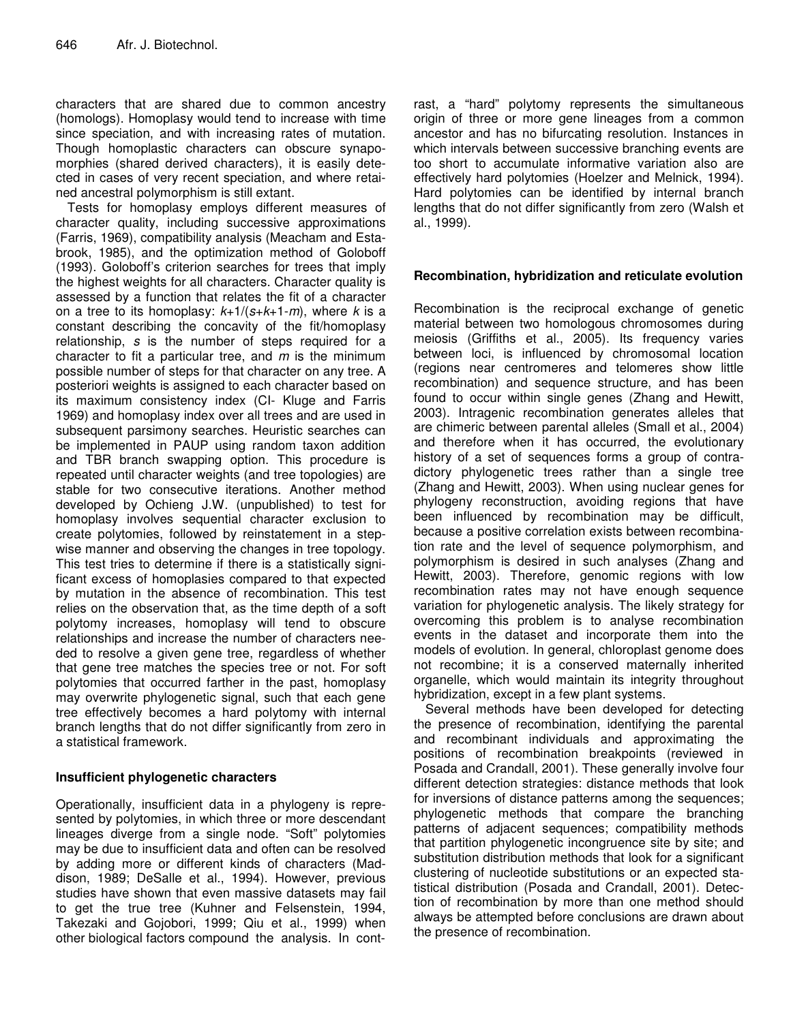characters that are shared due to common ancestry (homologs). Homoplasy would tend to increase with time since speciation, and with increasing rates of mutation. Though homoplastic characters can obscure synapomorphies (shared derived characters), it is easily detected in cases of very recent speciation, and where retained ancestral polymorphism is still extant.

Tests for homoplasy employs different measures of character quality, including successive approximations (Farris, 1969), compatibility analysis (Meacham and Estabrook, 1985), and the optimization method of Goloboff (1993). Goloboff's criterion searches for trees that imply the highest weights for all characters. Character quality is assessed by a function that relates the fit of a character on a tree to its homoplasy: *k*+1/(*s*+*k*+1-*m*), where *k* is a constant describing the concavity of the fit/homoplasy relationship, *s* is the number of steps required for a character to fit a particular tree, and *m* is the minimum possible number of steps for that character on any tree. A posteriori weights is assigned to each character based on its maximum consistency index (CI- Kluge and Farris 1969) and homoplasy index over all trees and are used in subsequent parsimony searches. Heuristic searches can be implemented in PAUP using random taxon addition and TBR branch swapping option. This procedure is repeated until character weights (and tree topologies) are stable for two consecutive iterations. Another method developed by Ochieng J.W. (unpublished) to test for homoplasy involves sequential character exclusion to create polytomies, followed by reinstatement in a stepwise manner and observing the changes in tree topology. This test tries to determine if there is a statistically significant excess of homoplasies compared to that expected by mutation in the absence of recombination. This test relies on the observation that, as the time depth of a soft polytomy increases, homoplasy will tend to obscure relationships and increase the number of characters needed to resolve a given gene tree, regardless of whether that gene tree matches the species tree or not. For soft polytomies that occurred farther in the past, homoplasy may overwrite phylogenetic signal, such that each gene tree effectively becomes a hard polytomy with internal branch lengths that do not differ significantly from zero in a statistical framework.

## **Insufficient phylogenetic characters**

Operationally, insufficient data in a phylogeny is represented by polytomies, in which three or more descendant lineages diverge from a single node. "Soft" polytomies may be due to insufficient data and often can be resolved by adding more or different kinds of characters (Maddison, 1989; DeSalle et al., 1994). However, previous studies have shown that even massive datasets may fail to get the true tree (Kuhner and Felsenstein, 1994, Takezaki and Gojobori, 1999; Qiu et al., 1999) when other biological factors compound the analysis. In contrast, a "hard" polytomy represents the simultaneous origin of three or more gene lineages from a common ancestor and has no bifurcating resolution. Instances in which intervals between successive branching events are too short to accumulate informative variation also are effectively hard polytomies (Hoelzer and Melnick, 1994). Hard polytomies can be identified by internal branch lengths that do not differ significantly from zero (Walsh et al., 1999).

# **Recombination, hybridization and reticulate evolution**

Recombination is the reciprocal exchange of genetic material between two homologous chromosomes during meiosis (Griffiths et al., 2005). Its frequency varies between loci, is influenced by chromosomal location (regions near centromeres and telomeres show little recombination) and sequence structure, and has been found to occur within single genes (Zhang and Hewitt, 2003). Intragenic recombination generates alleles that are chimeric between parental alleles (Small et al., 2004) and therefore when it has occurred, the evolutionary history of a set of sequences forms a group of contradictory phylogenetic trees rather than a single tree (Zhang and Hewitt, 2003). When using nuclear genes for phylogeny reconstruction, avoiding regions that have been influenced by recombination may be difficult, because a positive correlation exists between recombination rate and the level of sequence polymorphism, and polymorphism is desired in such analyses (Zhang and Hewitt, 2003). Therefore, genomic regions with low recombination rates may not have enough sequence variation for phylogenetic analysis. The likely strategy for overcoming this problem is to analyse recombination events in the dataset and incorporate them into the models of evolution. In general, chloroplast genome does not recombine; it is a conserved maternally inherited organelle, which would maintain its integrity throughout hybridization, except in a few plant systems.

Several methods have been developed for detecting the presence of recombination, identifying the parental and recombinant individuals and approximating the positions of recombination breakpoints (reviewed in Posada and Crandall, 2001). These generally involve four different detection strategies: distance methods that look for inversions of distance patterns among the sequences; phylogenetic methods that compare the branching patterns of adjacent sequences; compatibility methods that partition phylogenetic incongruence site by site; and substitution distribution methods that look for a significant clustering of nucleotide substitutions or an expected statistical distribution (Posada and Crandall, 2001). Detection of recombination by more than one method should always be attempted before conclusions are drawn about the presence of recombination.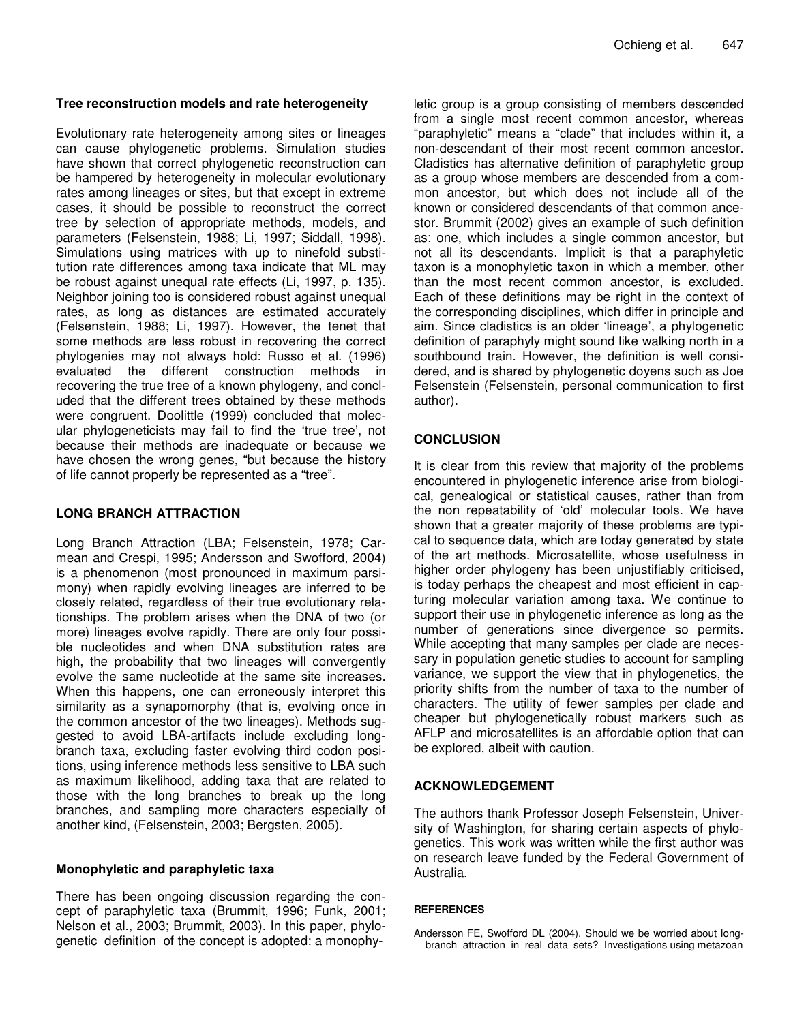#### **Tree reconstruction models and rate heterogeneity**

Evolutionary rate heterogeneity among sites or lineages can cause phylogenetic problems. Simulation studies have shown that correct phylogenetic reconstruction can be hampered by heterogeneity in molecular evolutionary rates among lineages or sites, but that except in extreme cases, it should be possible to reconstruct the correct tree by selection of appropriate methods, models, and parameters (Felsenstein, 1988; Li, 1997; Siddall, 1998). Simulations using matrices with up to ninefold substitution rate differences among taxa indicate that ML may be robust against unequal rate effects (Li, 1997, p. 135). Neighbor joining too is considered robust against unequal rates, as long as distances are estimated accurately (Felsenstein, 1988; Li, 1997). However, the tenet that some methods are less robust in recovering the correct phylogenies may not always hold: Russo et al. (1996) evaluated the different construction methods in recovering the true tree of a known phylogeny, and concluded that the different trees obtained by these methods were congruent. Doolittle (1999) concluded that molecular phylogeneticists may fail to find the 'true tree', not because their methods are inadequate or because we have chosen the wrong genes, "but because the history of life cannot properly be represented as a "tree".

#### **LONG BRANCH ATTRACTION**

Long Branch Attraction (LBA; Felsenstein, 1978; Carmean and Crespi, 1995; Andersson and Swofford, 2004) is a phenomenon (most pronounced in maximum parsimony) when rapidly evolving lineages are inferred to be closely related, regardless of their true evolutionary relationships. The problem arises when the DNA of two (or more) lineages evolve rapidly. There are only four possible nucleotides and when DNA substitution rates are high, the probability that two lineages will convergently evolve the same nucleotide at the same site increases. When this happens, one can erroneously interpret this similarity as a synapomorphy (that is, evolving once in the common ancestor of the two lineages). Methods suggested to avoid LBA-artifacts include excluding longbranch taxa, excluding faster evolving third codon positions, using inference methods less sensitive to LBA such as maximum likelihood, adding taxa that are related to those with the long branches to break up the long branches, and sampling more characters especially of another kind, (Felsenstein, 2003; Bergsten, 2005).

#### **Monophyletic and paraphyletic taxa**

There has been ongoing discussion regarding the concept of paraphyletic taxa (Brummit, 1996; Funk, 2001; Nelson et al., 2003; Brummit, 2003). In this paper, phylogenetic definition of the concept is adopted: a monophyletic group is a group consisting of members descended from a single most recent common ancestor, whereas "paraphyletic" means a "clade" that includes within it, a non-descendant of their most recent common ancestor. Cladistics has alternative definition of paraphyletic group as a group whose members are descended from a common ancestor, but which does not include all of the known or considered descendants of that common ancestor. Brummit (2002) gives an example of such definition as: one, which includes a single common ancestor, but not all its descendants. Implicit is that a paraphyletic taxon is a monophyletic taxon in which a member, other than the most recent common ancestor, is excluded. Each of these definitions may be right in the context of the corresponding disciplines, which differ in principle and aim. Since cladistics is an older 'lineage', a phylogenetic definition of paraphyly might sound like walking north in a southbound train. However, the definition is well considered, and is shared by phylogenetic doyens such as Joe Felsenstein (Felsenstein, personal communication to first author).

## **CONCLUSION**

It is clear from this review that majority of the problems encountered in phylogenetic inference arise from biological, genealogical or statistical causes, rather than from the non repeatability of 'old' molecular tools. We have shown that a greater majority of these problems are typical to sequence data, which are today generated by state of the art methods. Microsatellite, whose usefulness in higher order phylogeny has been unjustifiably criticised, is today perhaps the cheapest and most efficient in capturing molecular variation among taxa. We continue to support their use in phylogenetic inference as long as the number of generations since divergence so permits. While accepting that many samples per clade are necessary in population genetic studies to account for sampling variance, we support the view that in phylogenetics, the priority shifts from the number of taxa to the number of characters. The utility of fewer samples per clade and cheaper but phylogenetically robust markers such as AFLP and microsatellites is an affordable option that can be explored, albeit with caution.

#### **ACKNOWLEDGEMENT**

The authors thank Professor Joseph Felsenstein, University of Washington, for sharing certain aspects of phylogenetics. This work was written while the first author was on research leave funded by the Federal Government of Australia.

#### **REFERENCES**

Andersson FE, Swofford DL (2004). Should we be worried about longbranch attraction in real data sets? Investigations using metazoan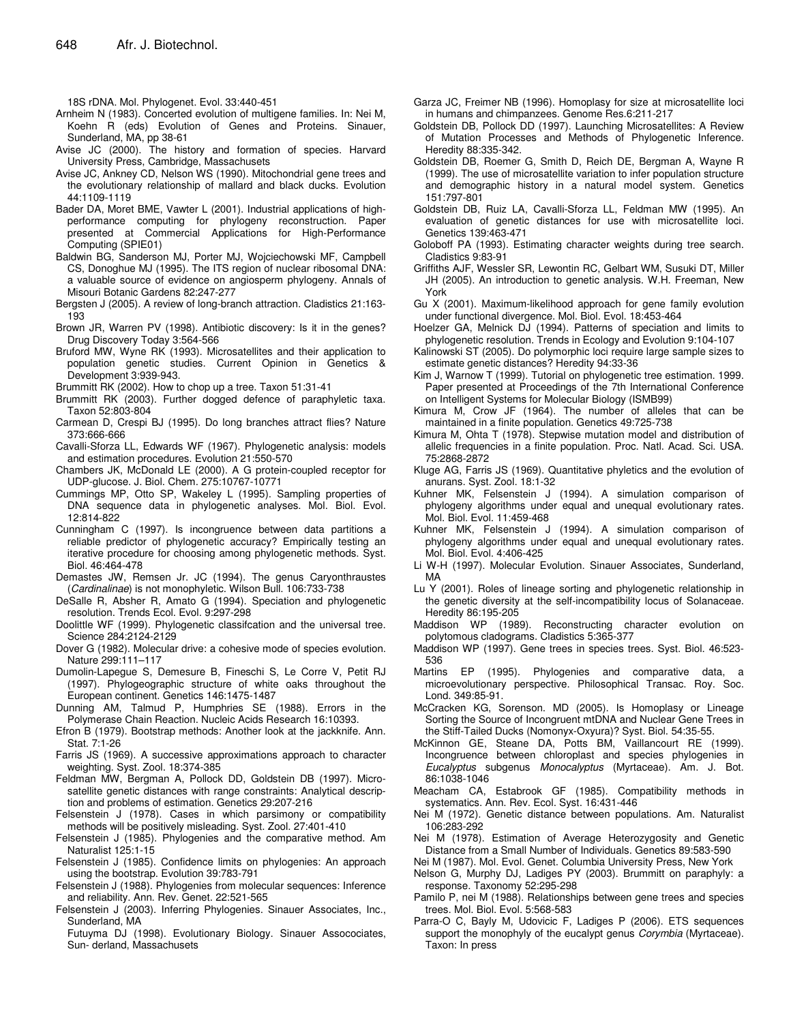18S rDNA. Mol. Phylogenet. Evol. 33:440-451

- Arnheim N (1983). Concerted evolution of multigene families. In: Nei M, Koehn R (eds) Evolution of Genes and Proteins. Sinauer, Sunderland, MA, pp 38-61
- Avise JC (2000). The history and formation of species. Harvard University Press, Cambridge, Massachusets
- Avise JC, Ankney CD, Nelson WS (1990). Mitochondrial gene trees and the evolutionary relationship of mallard and black ducks. Evolution 44:1109-1119
- Bader DA, Moret BME, Vawter L (2001). Industrial applications of highperformance computing for phylogeny reconstruction. Paper presented at Commercial Applications for High-Performance Computing (SPIE01)
- Baldwin BG, Sanderson MJ, Porter MJ, Wojciechowski MF, Campbell CS, Donoghue MJ (1995). The ITS region of nuclear ribosomal DNA: a valuable source of evidence on angiosperm phylogeny. Annals of Misouri Botanic Gardens 82:247-277
- Bergsten J (2005). A review of long-branch attraction. Cladistics 21:163- 193
- Brown JR, Warren PV (1998). Antibiotic discovery: Is it in the genes? Drug Discovery Today 3:564-566
- Bruford MW, Wyne RK (1993). Microsatellites and their application to population genetic studies. Current Opinion in Genetics & Development 3:939-943.
- Brummitt RK (2002). How to chop up a tree. Taxon 51:31-41
- Brummitt RK (2003). Further dogged defence of paraphyletic taxa. Taxon 52:803-804
- Carmean D, Crespi BJ (1995). Do long branches attract flies? Nature 373:666-666
- Cavalli-Sforza LL, Edwards WF (1967). Phylogenetic analysis: models and estimation procedures. Evolution 21:550-570
- Chambers JK, McDonald LE (2000). A G protein-coupled receptor for UDP-glucose. J. Biol. Chem. 275:10767-10771
- Cummings MP, Otto SP, Wakeley L (1995). Sampling properties of DNA sequence data in phylogenetic analyses. Mol. Biol. Evol. 12:814-822
- Cunningham C (1997). Is incongruence between data partitions a reliable predictor of phylogenetic accuracy? Empirically testing an iterative procedure for choosing among phylogenetic methods. Syst. Biol. 46:464-478
- Demastes JW, Remsen Jr. JC (1994). The genus Caryonthraustes (*Cardinalinae*) is not monophyletic. Wilson Bull. 106:733-738
- DeSalle R, Absher R, Amato G (1994). Speciation and phylogenetic resolution. Trends Ecol. Evol. 9:297-298
- Doolittle WF (1999). Phylogenetic classifcation and the universal tree. Science 284:2124-2129
- Dover G (1982). Molecular drive: a cohesive mode of species evolution. Nature 299:111–117
- Dumolin-Lapegue S, Demesure B, Fineschi S, Le Corre V, Petit RJ (1997). Phylogeographic structure of white oaks throughout the European continent. Genetics 146:1475-1487
- Dunning AM, Talmud P, Humphries SE (1988). Errors in the Polymerase Chain Reaction. Nucleic Acids Research 16:10393.
- Efron B (1979). Bootstrap methods: Another look at the jackknife. Ann. Stat. 7:1-26
- Farris JS (1969). A successive approximations approach to character weighting. Syst. Zool. 18:374-385
- Feldman MW, Bergman A, Pollock DD, Goldstein DB (1997). Microsatellite genetic distances with range constraints: Analytical description and problems of estimation. Genetics 29:207-216
- Felsenstein J (1978). Cases in which parsimony or compatibility methods will be positively misleading. Syst. Zool. 27:401-410
- Felsenstein J (1985). Phylogenies and the comparative method. Am Naturalist 125:1-15
- Felsenstein J (1985). Confidence limits on phylogenies: An approach using the bootstrap. Evolution 39:783-791
- Felsenstein J (1988). Phylogenies from molecular sequences: Inference and reliability. Ann. Rev. Genet. 22:521-565
- Felsenstein J (2003). Inferring Phylogenies. Sinauer Associates, Inc., Sunderland, MA
- Futuyma DJ (1998). Evolutionary Biology. Sinauer Assocociates, Sun- derland, Massachusets
- Garza JC, Freimer NB (1996). Homoplasy for size at microsatellite loci in humans and chimpanzees. Genome Res.6:211-217
- Goldstein DB, Pollock DD (1997). Launching Microsatellites: A Review of Mutation Processes and Methods of Phylogenetic Inference. Heredity 88:335-342.
- Goldstein DB, Roemer G, Smith D, Reich DE, Bergman A, Wayne R (1999). The use of microsatellite variation to infer population structure and demographic history in a natural model system. Genetics 151:797-801
- Goldstein DB, Ruiz LA, Cavalli-Sforza LL, Feldman MW (1995). An evaluation of genetic distances for use with microsatellite loci. Genetics 139:463-471
- Goloboff PA (1993). Estimating character weights during tree search. Cladistics 9:83-91
- Griffiths AJF, Wessler SR, Lewontin RC, Gelbart WM, Susuki DT, Miller JH (2005). An introduction to genetic analysis. W.H. Freeman, New York
- Gu X (2001). Maximum-likelihood approach for gene family evolution under functional divergence. Mol. Biol. Evol. 18:453-464
- Hoelzer GA, Melnick DJ (1994). Patterns of speciation and limits to phylogenetic resolution. Trends in Ecology and Evolution 9:104-107
- Kalinowski ST (2005). Do polymorphic loci require large sample sizes to estimate genetic distances? Heredity 94:33-36
- Kim J, Warnow T (1999). Tutorial on phylogenetic tree estimation. 1999. Paper presented at Proceedings of the 7th International Conference on Intelligent Systems for Molecular Biology (ISMB99)
- Kimura M, Crow JF (1964). The number of alleles that can be maintained in a finite population. Genetics 49:725-738
- Kimura M, Ohta T (1978). Stepwise mutation model and distribution of allelic frequencies in a finite population. Proc. Natl. Acad. Sci. USA. 75:2868-2872
- Kluge AG, Farris JS (1969). Quantitative phyletics and the evolution of anurans. Syst. Zool. 18:1-32
- Kuhner MK, Felsenstein J (1994). A simulation comparison of phylogeny algorithms under equal and unequal evolutionary rates. Mol. Biol. Evol. 11:459-468
- Kuhner MK, Felsenstein J (1994). A simulation comparison of phylogeny algorithms under equal and unequal evolutionary rates. Mol. Biol. Evol. 4:406-425
- Li W-H (1997). Molecular Evolution. Sinauer Associates, Sunderland, MA
- Lu Y (2001). Roles of lineage sorting and phylogenetic relationship in the genetic diversity at the self-incompatibility locus of Solanaceae. Heredity 86:195-205
- Maddison WP (1989). Reconstructing character evolution on polytomous cladograms. Cladistics 5:365-377
- Maddison WP (1997). Gene trees in species trees. Syst. Biol. 46:523- 536
- Martins EP (1995). Phylogenies and comparative data, a microevolutionary perspective. Philosophical Transac. Roy. Soc. Lond. 349:85-91.
- McCracken KG, Sorenson. MD (2005). Is Homoplasy or Lineage Sorting the Source of Incongruent mtDNA and Nuclear Gene Trees in the Stiff-Tailed Ducks (Nomonyx-Oxyura)? Syst. Biol. 54:35-55.
- McKinnon GE, Steane DA, Potts BM, Vaillancourt RE (1999). Incongruence between chloroplast and species phylogenies in *Eucalyptus* subgenus *Monocalyptus* (Myrtaceae). Am. J. Bot. 86:1038-1046
- Meacham CA, Estabrook GF (1985). Compatibility methods in systematics. Ann. Rev. Ecol. Syst. 16:431-446
- Nei M (1972). Genetic distance between populations. Am. Naturalist 106:283-292
- Nei M (1978). Estimation of Average Heterozygosity and Genetic Distance from a Small Number of Individuals. Genetics 89:583-590
- Nei M (1987). Mol. Evol. Genet. Columbia University Press, New York
- Nelson G, Murphy DJ, Ladiges PY (2003). Brummitt on paraphyly: a response. Taxonomy 52:295-298
- Pamilo P, nei M (1988). Relationships between gene trees and species trees. Mol. Biol. Evol. 5:568-583
- Parra-O C, Bayly M, Udovicic F, Ladiges P (2006). ETS sequences support the monophyly of the eucalypt genus *Corymbia* (Myrtaceae). Taxon: In press